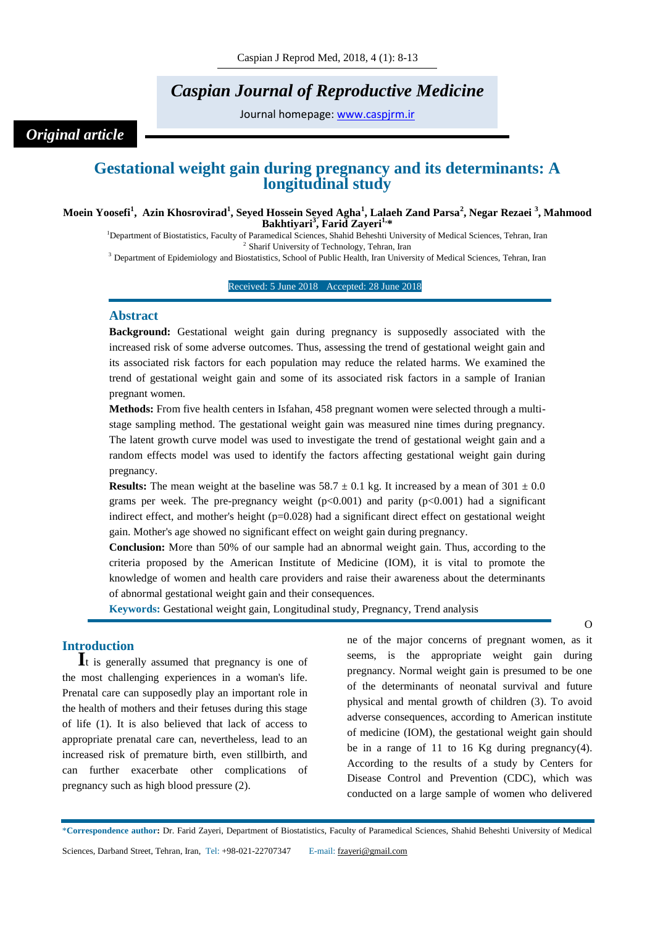# *Caspian Journal of Reproductive Medicine*

Journal homepage: [www.caspjrm.ir](http://www.caspjrm.ir/)

## *Original article*

### **Gestational weight gain during pregnancy and its determinants: A longitudinal study**

#### **Moein Yoosefi<sup>1</sup> , Azin Khosrovirad<sup>1</sup> , Seyed Hossein Seyed Agha<sup>1</sup> , Lalaeh Zand Parsa<sup>2</sup> , Negar Rezaei <sup>3</sup> , Mahmood Bakhtiyari<sup>3</sup> , Farid Zayeri1,\***

<sup>1</sup>Department of Biostatistics, Faculty of Paramedical Sciences, Shahid Beheshti University of Medical Sciences, Tehran, Iran 2 Sharif University of Technology, Tehran, Iran

<sup>3</sup> Department of Epidemiology and Biostatistics, School of Public Health, Iran University of Medical Sciences, Tehran, Iran

#### Received: 5 June 2018 Accepted: 28 June 2018

#### **Abstract**

**Background:** Gestational weight gain during pregnancy is supposedly associated with the increased risk of some adverse outcomes. Thus, assessing the trend of gestational weight gain and its associated risk factors for each population may reduce the related harms. We examined the trend of gestational weight gain and some of its associated risk factors in a sample of Iranian pregnant women.

**Methods:** From five health centers in Isfahan, 458 pregnant women were selected through a multistage sampling method. The gestational weight gain was measured nine times during pregnancy. The latent growth curve model was used to investigate the trend of gestational weight gain and a random effects model was used to identify the factors affecting gestational weight gain during pregnancy.

**Results:** The mean weight at the baseline was  $58.7 \pm 0.1$  kg. It increased by a mean of  $301 \pm 0.0$ grams per week. The pre-pregnancy weight  $(p<0.001)$  and parity  $(p<0.001)$  had a significant indirect effect, and mother's height  $(p=0.028)$  had a significant direct effect on gestational weight gain. Mother's age showed no significant effect on weight gain during pregnancy.

**Conclusion:** More than 50% of our sample had an abnormal weight gain. Thus, according to the criteria proposed by the American Institute of Medicine (IOM), it is vital to promote the knowledge of women and health care providers and raise their awareness about the determinants of abnormal gestational weight gain and their consequences.

**Keywords:** Gestational weight gain, Longitudinal study, Pregnancy, Trend analysis

#### **Introduction**

**I**t is generally assumed that pregnancy is one of the most challenging experiences in a woman's life. Prenatal care can supposedly play an important role in the health of mothers and their fetuses during this stage of life (1). It is also believed that lack of access to appropriate prenatal care can, nevertheless, lead to an increased risk of premature birth, even stillbirth, and can further exacerbate other complications of pregnancy such as high blood pressure (2).

ne of the major concerns of pregnant women, as it seems, is the appropriate weight gain during pregnancy. Normal weight gain is presumed to be one of the determinants of neonatal survival and future physical and mental growth of children (3). To avoid adverse consequences, according to American institute of medicine (IOM), the gestational weight gain should be in a range of 11 to 16 Kg during pregnancy(4). According to the results of a study by Centers for Disease Control and Prevention (CDC), which was conducted on a large sample of women who delivered

\***Correspondence author:** Dr. Farid Zayeri, Department of Biostatistics, Faculty of Paramedical Sciences, Shahid Beheshti University of Medical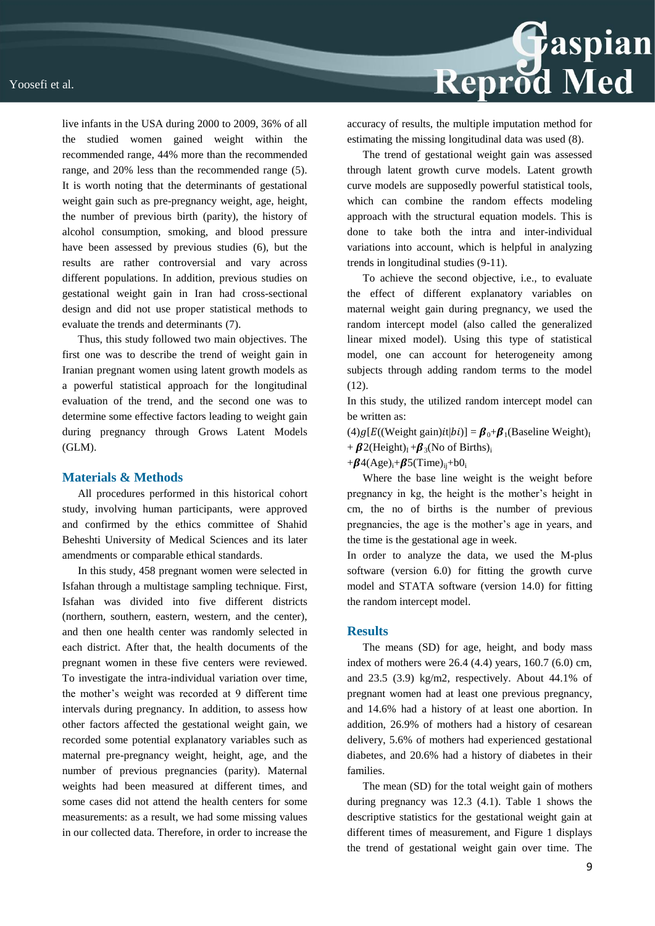live infants in the USA during 2000 to 2009, 36% of all the studied women gained weight within the recommended range, 44% more than the recommended range, and 20% less than the recommended range (5). It is worth noting that the determinants of gestational weight gain such as pre-pregnancy weight, age, height, the number of previous birth (parity), the history of alcohol consumption, smoking, and blood pressure have been assessed by previous studies (6), but the results are rather controversial and vary across different populations. In addition, previous studies on gestational weight gain in Iran had cross-sectional design and did not use proper statistical methods to evaluate the trends and determinants (7).

Thus, this study followed two main objectives. The first one was to describe the trend of weight gain in Iranian pregnant women using latent growth models as a powerful statistical approach for the longitudinal evaluation of the trend, and the second one was to determine some effective factors leading to weight gain during pregnancy through Grows Latent Models (GLM).

#### **Materials & Methods**

All procedures performed in this historical cohort study, involving human participants, were approved and confirmed by the ethics committee of Shahid Beheshti University of Medical Sciences and its later amendments or comparable ethical standards.

In this study, 458 pregnant women were selected in Isfahan through a multistage sampling technique. First, Isfahan was divided into five different districts (northern, southern, eastern, western, and the center), and then one health center was randomly selected in each district. After that, the health documents of the pregnant women in these five centers were reviewed. To investigate the intra-individual variation over time, the mother's weight was recorded at 9 different time intervals during pregnancy. In addition, to assess how other factors affected the gestational weight gain, we recorded some potential explanatory variables such as maternal pre-pregnancy weight, height, age, and the number of previous pregnancies (parity). Maternal weights had been measured at different times, and some cases did not attend the health centers for some measurements: as a result, we had some missing values in our collected data. Therefore, in order to increase the



accuracy of results, the multiple imputation method for estimating the missing longitudinal data was used (8).

The trend of gestational weight gain was assessed through latent growth curve models. Latent growth curve models are supposedly powerful statistical tools, which can combine the random effects modeling approach with the structural equation models. This is done to take both the intra and inter-individual variations into account, which is helpful in analyzing trends in longitudinal studies (9-11).

To achieve the second objective, i.e., to evaluate the effect of different explanatory variables on maternal weight gain during pregnancy, we used the random intercept model (also called the generalized linear mixed model). Using this type of statistical model, one can account for heterogeneity among subjects through adding random terms to the model (12).

In this study, the utilized random intercept model can be written as:

 $(4)$   $q[E((Weight gain)$   $it|bi)]=$   $\mathbf{\beta}_0+\mathbf{\beta}_1(B$  aseline Weight)<sub>I</sub> +  $\beta$ 2(Height)<sub>I</sub> +  $\beta$ <sub>3</sub>(No of Births)<sub>i</sub>

 $+\beta$ 4(Age)<sub>i</sub>+ $\beta$ 5(Time)<sub>ii</sub>+b0<sub>i</sub>

Where the base line weight is the weight before pregnancy in kg, the height is the mother's height in cm, the no of births is the number of previous pregnancies, the age is the mother's age in years, and the time is the gestational age in week.

In order to analyze the data, we used the M-plus software (version 6.0) for fitting the growth curve model and STATA software (version 14.0) for fitting the random intercept model.

#### **Results**

The means (SD) for age, height, and body mass index of mothers were 26.4 (4.4) years, 160.7 (6.0) cm, and 23.5 (3.9) kg/m2, respectively. About 44.1% of pregnant women had at least one previous pregnancy, and 14.6% had a history of at least one abortion. In addition, 26.9% of mothers had a history of cesarean delivery, 5.6% of mothers had experienced gestational diabetes, and 20.6% had a history of diabetes in their families.

The mean (SD) for the total weight gain of mothers during pregnancy was 12.3 (4.1). Table 1 shows the descriptive statistics for the gestational weight gain at different times of measurement, and Figure 1 displays the trend of gestational weight gain over time. The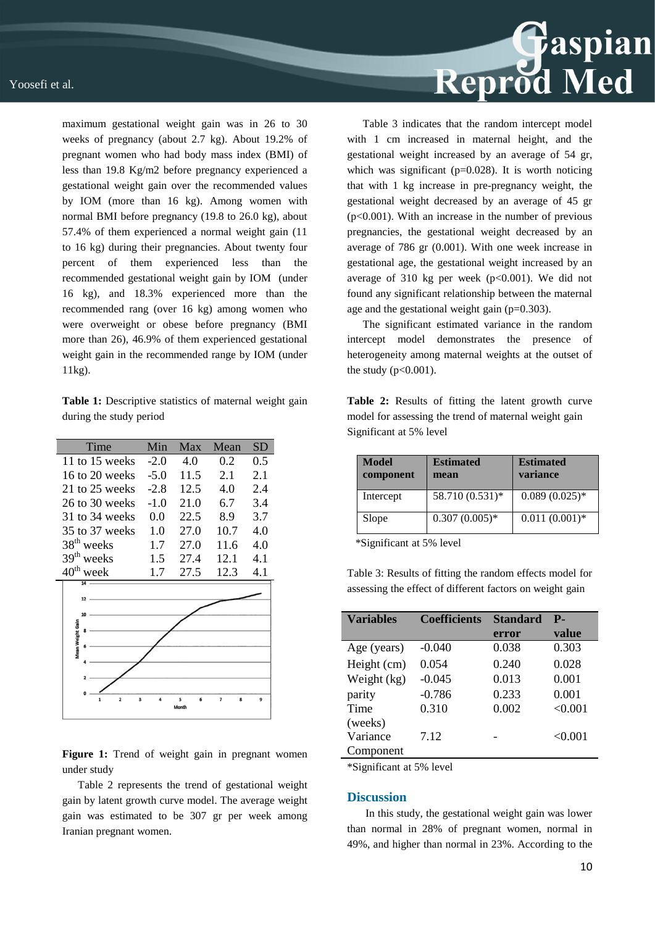maximum gestational weight gain was in 26 to 30 weeks of pregnancy (about 2.7 kg). About 19.2% of pregnant women who had body mass index (BMI) of less than 19.8 Kg/m2 before pregnancy experienced a gestational weight gain over the recommended values by IOM (more than 16 kg). Among women with normal BMI before pregnancy (19.8 to 26.0 kg), about 57.4% of them experienced a normal weight gain (11 to 16 kg) during their pregnancies. About twenty four percent of them experienced less than the recommended gestational weight gain by IOM (under 16 kg), and 18.3% experienced more than the recommended rang (over 16 kg) among women who were overweight or obese before pregnancy (BMI more than 26), 46.9% of them experienced gestational weight gain in the recommended range by IOM (under 11kg).

**Table 1:** Descriptive statistics of maternal weight gain during the study period

| Time                  | Min    | Max  | Mean | SD  |
|-----------------------|--------|------|------|-----|
| 11 to 15 weeks        | $-2.0$ | 4.0  | 0.2  | 0.5 |
| 16 to 20 weeks        | $-5.0$ | 11.5 | 2.1  | 2.1 |
| 21 to 25 weeks        | $-2.8$ | 12.5 | 4.0  | 2.4 |
| 26 to 30 weeks        | $-1.0$ | 21.0 | 6.7  | 3.4 |
| 31 to 34 weeks        | 0.0    | 22.5 | 8.9  | 3.7 |
| 35 to 37 weeks        | 1.0    | 27.0 | 10.7 | 4.0 |
| $38th$ weeks          | 1.7    | 27.0 | 11.6 | 4.0 |
| $39th$ weeks          | 1.5    | 27.4 | 12.1 | 4.1 |
| $40^{\text{th}}$ week | 1.7    | 27.5 | 12.3 | 4.1 |
| $\overline{14}$       |        |      |      |     |
| 12                    |        |      |      |     |
| 10                    |        |      |      |     |
| Mean Weight Gain      |        |      |      |     |
|                       |        |      |      |     |
|                       |        |      |      |     |
|                       |        |      |      |     |
|                       |        |      |      |     |

Figure 1: Trend of weight gain in pregnant women under study

Table 2 represents the trend of gestational weight gain by latent growth curve model. The average weight gain was estimated to be 307 gr per week among Iranian pregnant women.



Table 3 indicates that the random intercept model with 1 cm increased in maternal height, and the gestational weight increased by an average of 54 gr, which was significant ( $p=0.028$ ). It is worth noticing that with 1 kg increase in pre-pregnancy weight, the gestational weight decreased by an average of 45 gr  $(p<0.001)$ . With an increase in the number of previous pregnancies, the gestational weight decreased by an average of 786 gr (0.001). With one week increase in gestational age, the gestational weight increased by an average of 310 kg per week  $(p<0.001)$ . We did not found any significant relationship between the maternal age and the gestational weight gain  $(p=0.303)$ .

The significant estimated variance in the random intercept model demonstrates the presence of heterogeneity among maternal weights at the outset of the study  $(p<0.001)$ .

**Table 2:** Results of fitting the latent growth curve model for assessing the trend of maternal weight gain Significant at 5% level

| Model<br>component | <b>Estimated</b><br>mean | <b>Estimated</b><br>variance |
|--------------------|--------------------------|------------------------------|
| Intercept          | 58.710 (0.531)*          | $0.089(0.025)*$              |
| Slope              | $0.307(0.005)*$          | $0.011(0.001)*$              |

\*Significant at 5% level

Table 3: Results of fitting the random effects model for assessing the effect of different factors on weight gain

| <b>Variables</b> | <b>Coefficients</b> | <b>Standard</b> | <b>P</b> - |
|------------------|---------------------|-----------------|------------|
|                  |                     | error           | value      |
| Age (years)      | $-0.040$            | 0.038           | 0.303      |
| Height (cm)      | 0.054               | 0.240           | 0.028      |
| Weight (kg)      | $-0.045$            | 0.013           | 0.001      |
| parity           | $-0.786$            | 0.233           | 0.001      |
| Time             | 0.310               | 0.002           | < 0.001    |
| (weeks)          |                     |                 |            |
| Variance         | 7.12                |                 | < 0.001    |
| Component        |                     |                 |            |

\*Significant at 5% level

#### **Discussion**

In this study, the gestational weight gain was lower than normal in 28% of pregnant women, normal in 49%, and higher than normal in 23%. According to the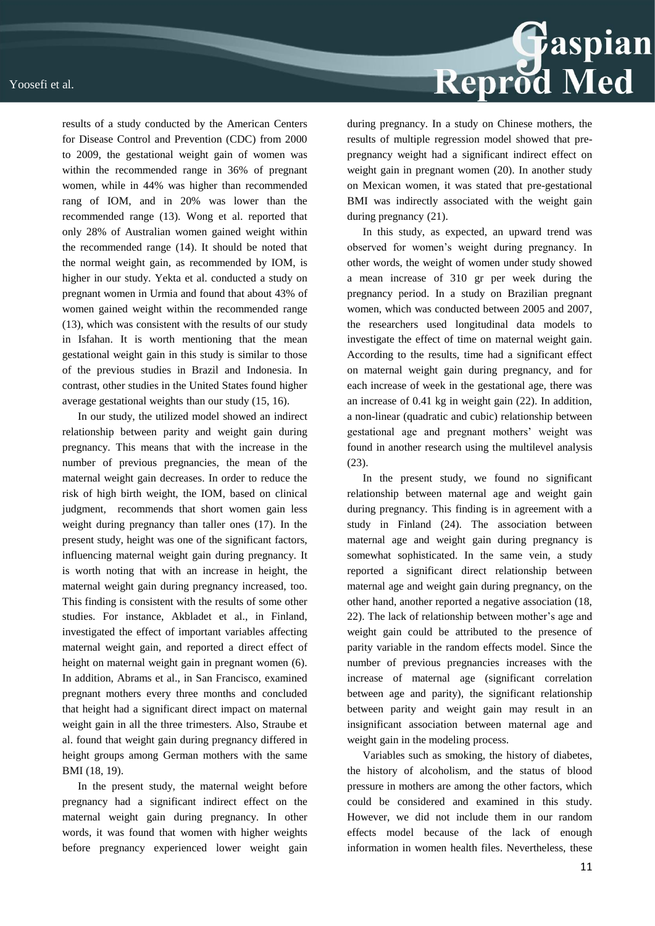

results of a study conducted by the American Centers for Disease Control and Prevention (CDC) from 2000 to 2009, the gestational weight gain of women was within the recommended range in 36% of pregnant women, while in 44% was higher than recommended rang of IOM, and in 20% was lower than the recommended range (13). Wong et al. reported that only 28% of Australian women gained weight within the recommended range (14). It should be noted that the normal weight gain, as recommended by IOM, is higher in our study. Yekta et al. conducted a study on pregnant women in Urmia and found that about 43% of women gained weight within the recommended range (13), which was consistent with the results of our study in Isfahan. It is worth mentioning that the mean gestational weight gain in this study is similar to those of the previous studies in Brazil and Indonesia. In contrast, other studies in the United States found higher average gestational weights than our study (15, 16).

In our study, the utilized model showed an indirect relationship between parity and weight gain during pregnancy. This means that with the increase in the number of previous pregnancies, the mean of the maternal weight gain decreases. In order to reduce the risk of high birth weight, the IOM, based on clinical judgment, recommends that short women gain less weight during pregnancy than taller ones (17). In the present study, height was one of the significant factors, influencing maternal weight gain during pregnancy. It is worth noting that with an increase in height, the maternal weight gain during pregnancy increased, too. This finding is consistent with the results of some other studies. For instance, Akbladet et al., in Finland, investigated the effect of important variables affecting maternal weight gain, and reported a direct effect of height on maternal weight gain in pregnant women (6). In addition, Abrams et al., in San Francisco, examined pregnant mothers every three months and concluded that height had a significant direct impact on maternal weight gain in all the three trimesters. Also, Straube et al. found that weight gain during pregnancy differed in height groups among German mothers with the same BMI (18, 19).

In the present study, the maternal weight before pregnancy had a significant indirect effect on the maternal weight gain during pregnancy. In other words, it was found that women with higher weights before pregnancy experienced lower weight gain

during pregnancy. In a study on Chinese mothers, the results of multiple regression model showed that prepregnancy weight had a significant indirect effect on weight gain in pregnant women (20). In another study on Mexican women, it was stated that pre-gestational BMI was indirectly associated with the weight gain during pregnancy (21).

In this study, as expected, an upward trend was observed for women's weight during pregnancy. In other words, the weight of women under study showed a mean increase of 310 gr per week during the pregnancy period. In a study on Brazilian pregnant women, which was conducted between 2005 and 2007, the researchers used longitudinal data models to investigate the effect of time on maternal weight gain. According to the results, time had a significant effect on maternal weight gain during pregnancy, and for each increase of week in the gestational age, there was an increase of 0.41 kg in weight gain (22). In addition, a non-linear (quadratic and cubic) relationship between gestational age and pregnant mothers' weight was found in another research using the multilevel analysis (23).

In the present study, we found no significant relationship between maternal age and weight gain during pregnancy. This finding is in agreement with a study in Finland (24). The association between maternal age and weight gain during pregnancy is somewhat sophisticated. In the same vein, a study reported a significant direct relationship between maternal age and weight gain during pregnancy, on the other hand, another reported a negative association (18, 22). The lack of relationship between mother's age and weight gain could be attributed to the presence of parity variable in the random effects model. Since the number of previous pregnancies increases with the increase of maternal age (significant correlation between age and parity), the significant relationship between parity and weight gain may result in an insignificant association between maternal age and weight gain in the modeling process.

Variables such as smoking, the history of diabetes, the history of alcoholism, and the status of blood pressure in mothers are among the other factors, which could be considered and examined in this study. However, we did not include them in our random effects model because of the lack of enough information in women health files. Nevertheless, these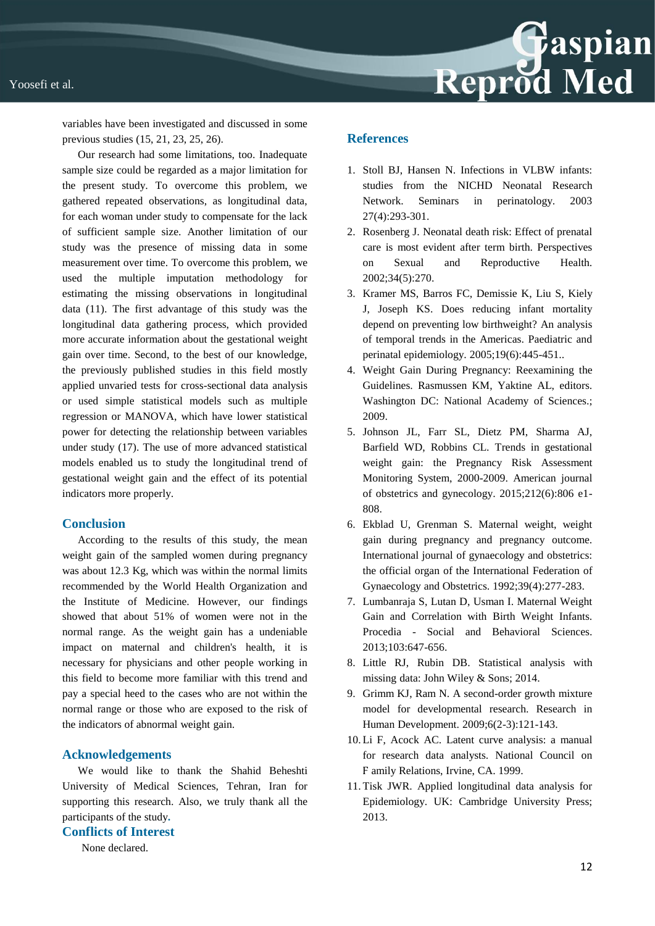



variables have been investigated and discussed in some previous studies (15, 21, 23, 25, 26).

Our research had some limitations, too. Inadequate sample size could be regarded as a major limitation for the present study. To overcome this problem, we gathered repeated observations, as longitudinal data, for each woman under study to compensate for the lack of sufficient sample size. Another limitation of our study was the presence of missing data in some measurement over time. To overcome this problem, we used the multiple imputation methodology for estimating the missing observations in longitudinal data (11). The first advantage of this study was the longitudinal data gathering process, which provided more accurate information about the gestational weight gain over time. Second, to the best of our knowledge, the previously published studies in this field mostly applied unvaried tests for cross-sectional data analysis or used simple statistical models such as multiple regression or MANOVA, which have lower statistical power for detecting the relationship between variables under study (17). The use of more advanced statistical models enabled us to study the longitudinal trend of gestational weight gain and the effect of its potential indicators more properly.

#### **Conclusion**

According to the results of this study, the mean weight gain of the sampled women during pregnancy was about 12.3 Kg, which was within the normal limits recommended by the World Health Organization and the Institute of Medicine. However, our findings showed that about 51% of women were not in the normal range. As the weight gain has a undeniable impact on maternal and children's health, it is necessary for physicians and other people working in this field to become more familiar with this trend and pay a special heed to the cases who are not within the normal range or those who are exposed to the risk of the indicators of abnormal weight gain.

#### **Acknowledgements**

We would like to thank the Shahid Beheshti University of Medical Sciences, Tehran, Iran for supporting this research. Also, we truly thank all the participants of the study**.**

#### **Conflicts of Interest**

None declared.

### **References**

- 1. Stoll BJ, Hansen N. Infections in VLBW infants: studies from the NICHD Neonatal Research Network. Seminars in perinatology. 2003 27(4):293-301.
- 2. Rosenberg J. Neonatal death risk: Effect of prenatal care is most evident after term birth. Perspectives on Sexual and Reproductive Health. 2002;34(5):270.
- 3. Kramer MS, Barros FC, Demissie K, Liu S, Kiely J, Joseph KS. Does reducing infant mortality depend on preventing low birthweight? An analysis of temporal trends in the Americas. Paediatric and perinatal epidemiology. 2005;19(6):445-451..
- 4. Weight Gain During Pregnancy: Reexamining the Guidelines. Rasmussen KM, Yaktine AL, editors. Washington DC: National Academy of Sciences.; 2009.
- 5. Johnson JL, Farr SL, Dietz PM, Sharma AJ, Barfield WD, Robbins CL. Trends in gestational weight gain: the Pregnancy Risk Assessment Monitoring System, 2000-2009. American journal of obstetrics and gynecology. 2015;212(6):806 e1- 808.
- 6. Ekblad U, Grenman S. Maternal weight, weight gain during pregnancy and pregnancy outcome. International journal of gynaecology and obstetrics: the official organ of the International Federation of Gynaecology and Obstetrics. 1992;39(4):277-283.
- 7. Lumbanraja S, Lutan D, Usman I. Maternal Weight Gain and Correlation with Birth Weight Infants. Procedia - Social and Behavioral Sciences. 2013;103:647-656.
- 8. Little RJ, Rubin DB. Statistical analysis with missing data: John Wiley & Sons; 2014.
- 9. Grimm KJ, Ram N. A second-order growth mixture model for developmental research. Research in Human Development. 2009;6(2-3):121-143.
- 10. Li F, Acock AC. Latent curve analysis: a manual for research data analysts. National Council on Ϝ amily Relations, Irvine, CA. 1999.
- 11. Tisk JWR. Applied longitudinal data analysis for Epidemiology. UK: Cambridge University Press; 2013.